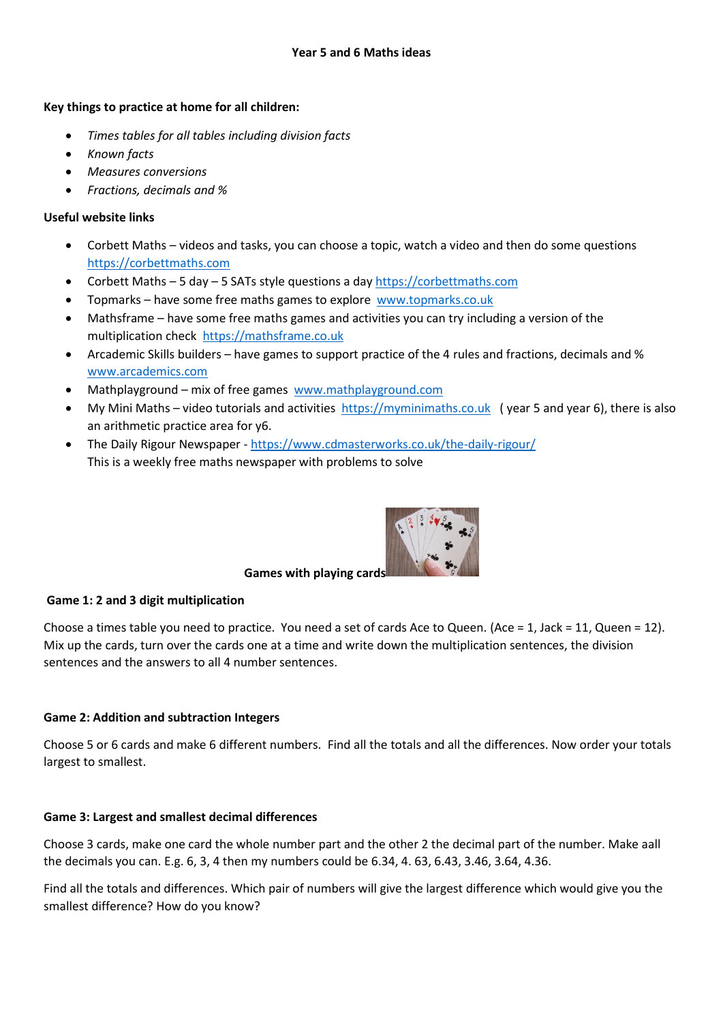# **Key things to practice at home for all children:**

- *Times tables for all tables including division facts*
- *Known facts*
- *Measures conversions*
- *Fractions, decimals and %*

# **Useful website links**

- Corbett Maths videos and tasks, you can choose a topic, watch a video and then do some questions [https://corbettmaths.com](https://corbettmaths.com/)
- Corbett Maths 5 day 5 SATs style questions a day [https://corbettmaths.com](https://corbettmaths.com/)
- Topmarks have some free maths games to explore [www.topmarks.co.uk](http://www.topmarks.co.uk/)
- Mathsframe have some free maths games and activities you can try including a version of the multiplication check [https://mathsframe.co.uk](https://mathsframe.co.uk/)
- Arcademic Skills builders have games to support practice of the 4 rules and fractions, decimals and % [www.arcademics.com](http://www.arcademics.com/)
- Mathplayground mix of free games [www.mathplayground.com](http://www.mathplayground.com/)
- My Mini Maths video tutorials and activities [https://myminimaths.co.uk](https://myminimaths.co.uk/) ( year 5 and year 6), there is also an arithmetic practice area for y6.
- The Daily Rigour Newspaper <https://www.cdmasterworks.co.uk/the-daily-rigour/> This is a weekly free maths newspaper with problems to solve



# **Games with playing cards**

# **Game 1: 2 and 3 digit multiplication**

Choose a times table you need to practice. You need a set of cards Ace to Queen. (Ace = 1, Jack = 11, Queen = 12). Mix up the cards, turn over the cards one at a time and write down the multiplication sentences, the division sentences and the answers to all 4 number sentences.

# **Game 2: Addition and subtraction Integers**

Choose 5 or 6 cards and make 6 different numbers. Find all the totals and all the differences. Now order your totals largest to smallest.

# **Game 3: Largest and smallest decimal differences**

Choose 3 cards, make one card the whole number part and the other 2 the decimal part of the number. Make aall the decimals you can. E.g. 6, 3, 4 then my numbers could be 6.34, 4. 63, 6.43, 3.46, 3.64, 4.36.

Find all the totals and differences. Which pair of numbers will give the largest difference which would give you the smallest difference? How do you know?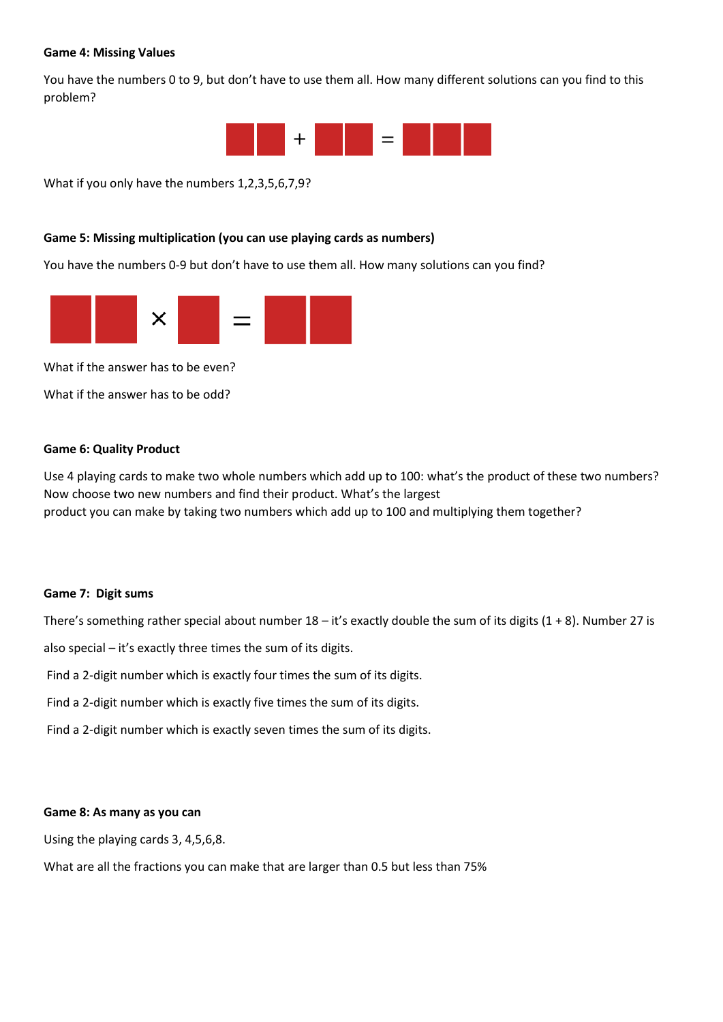#### **Game 4: Missing Values**

You have the numbers 0 to 9, but don't have to use them all. How many different solutions can you find to this problem?



What if you only have the numbers 1,2,3,5,6,7,9?

## **Game 5: Missing multiplication (you can use playing cards as numbers)**

You have the numbers 0-9 but don't have to use them all. How many solutions can you find?



What if the answer has to be even?

What if the answer has to be odd?

## **Game 6: Quality Product**

Use 4 playing cards to make two whole numbers which add up to 100: what's the product of these two numbers? Now choose two new numbers and find their product. What's the largest product you can make by taking two numbers which add up to 100 and multiplying them together?

#### **Game 7: Digit sums**

There's something rather special about number  $18 - it's$  exactly double the sum of its digits  $(1 + 8)$ . Number 27 is

also special – it's exactly three times the sum of its digits.

Find a 2-digit number which is exactly four times the sum of its digits.

Find a 2-digit number which is exactly five times the sum of its digits.

Find a 2-digit number which is exactly seven times the sum of its digits.

#### **Game 8: As many as you can**

Using the playing cards 3, 4,5,6,8.

What are all the fractions you can make that are larger than 0.5 but less than 75%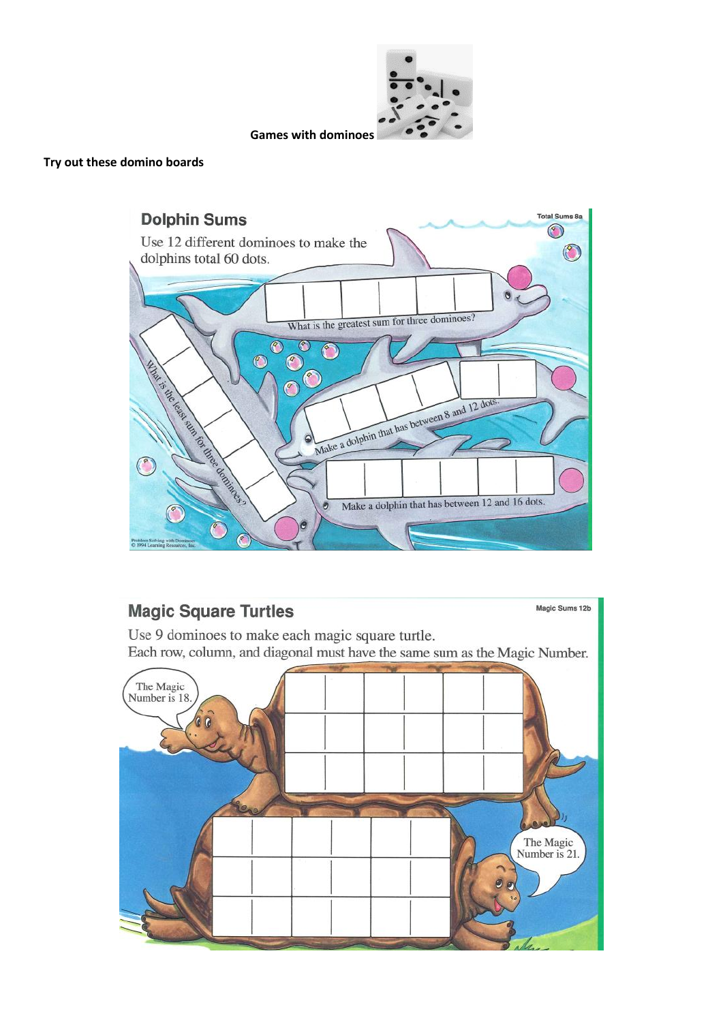

**Games with dominoes**

## **Try out these domino boards**



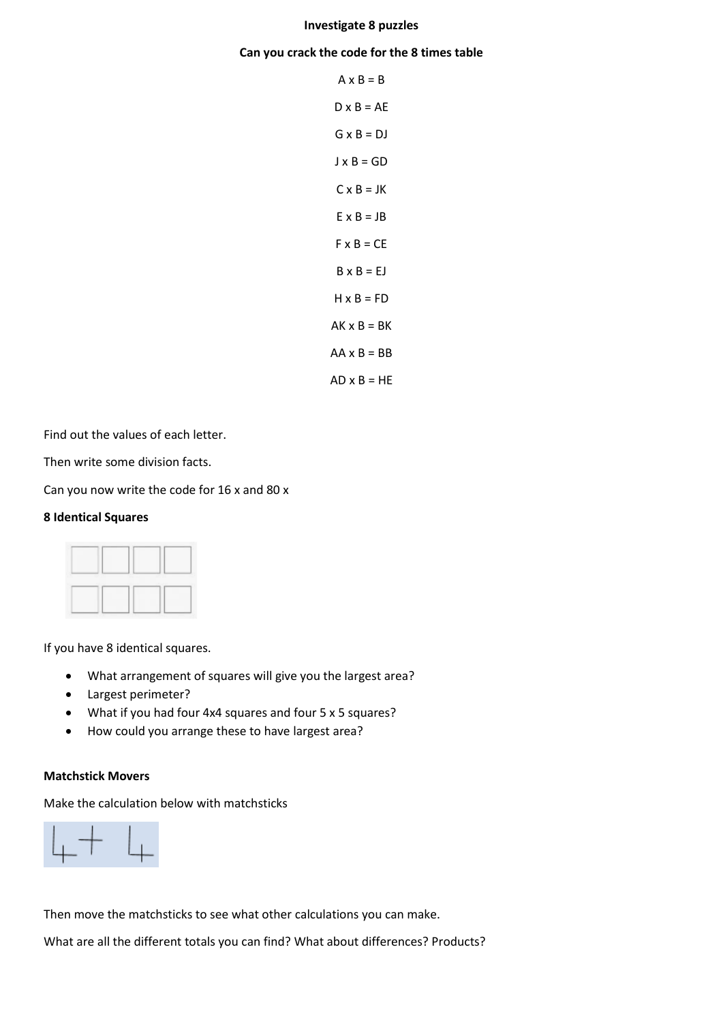#### **Investigate 8 puzzles**

#### **Can you crack the code for the 8 times table**

| $A \times B = B$   |
|--------------------|
| $D \times B = AE$  |
| $G \times B = DJ$  |
| J x B = GD         |
| $C \times B = JK$  |
| $E \times B = JB$  |
| $F \times B = CE$  |
| $B \times B = EJ$  |
| $H \times B = FD$  |
| $AK \times B = BK$ |
| $AA \times B = BB$ |
| $AD \times B = HE$ |

Find out the values of each letter.

Then write some division facts.

Can you now write the code for 16 x and 80 x

## **8 Identical Squares**

|  | <b>Marine</b> | <b>STORY</b> |  |
|--|---------------|--------------|--|
|  |               |              |  |

If you have 8 identical squares.

- What arrangement of squares will give you the largest area?
- Largest perimeter?
- What if you had four 4x4 squares and four 5 x 5 squares?
- How could you arrange these to have largest area?

#### **Matchstick Movers**

Make the calculation below with matchsticks



Then move the matchsticks to see what other calculations you can make.

What are all the different totals you can find? What about differences? Products?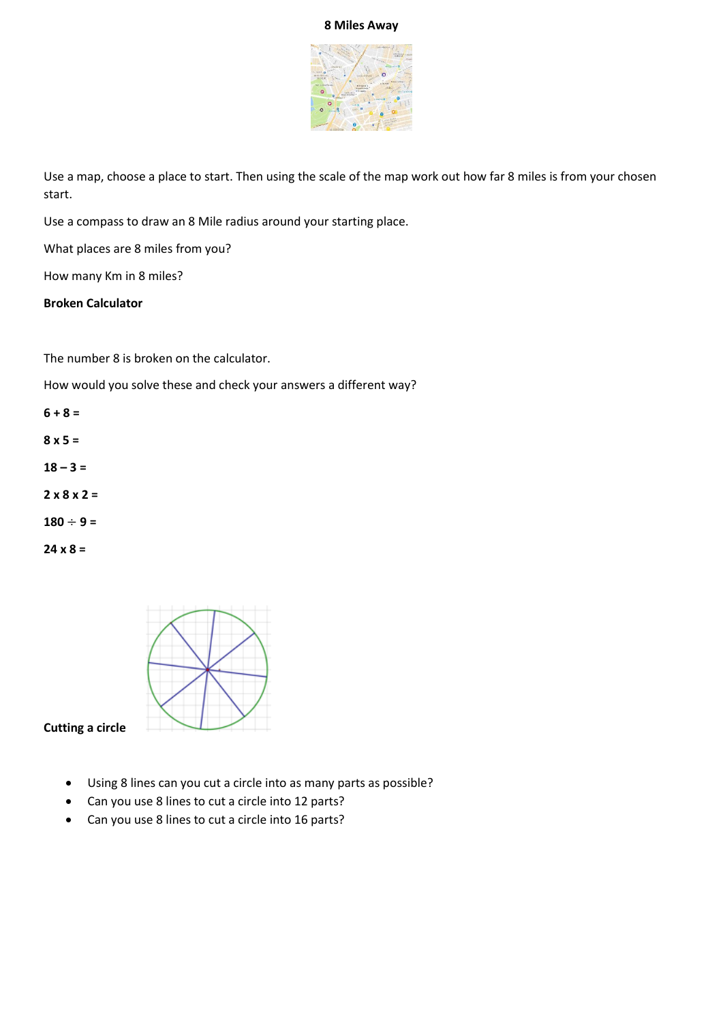## **8 Miles Away**



Use a map, choose a place to start. Then using the scale of the map work out how far 8 miles is from your chosen start.

Use a compass to draw an 8 Mile radius around your starting place.

What places are 8 miles from you?

How many Km in 8 miles?

## **Broken Calculator**

The number 8 is broken on the calculator.

How would you solve these and check your answers a different way?

**6 + 8 =**

**8 x 5 =**

 $18 - 3 =$ 

**2 x 8 x 2 =** 

 $180 \div 9 =$ 

**24 x 8 =** 



**Cutting a circle** 

- Using 8 lines can you cut a circle into as many parts as possible?
- Can you use 8 lines to cut a circle into 12 parts?
- Can you use 8 lines to cut a circle into 16 parts?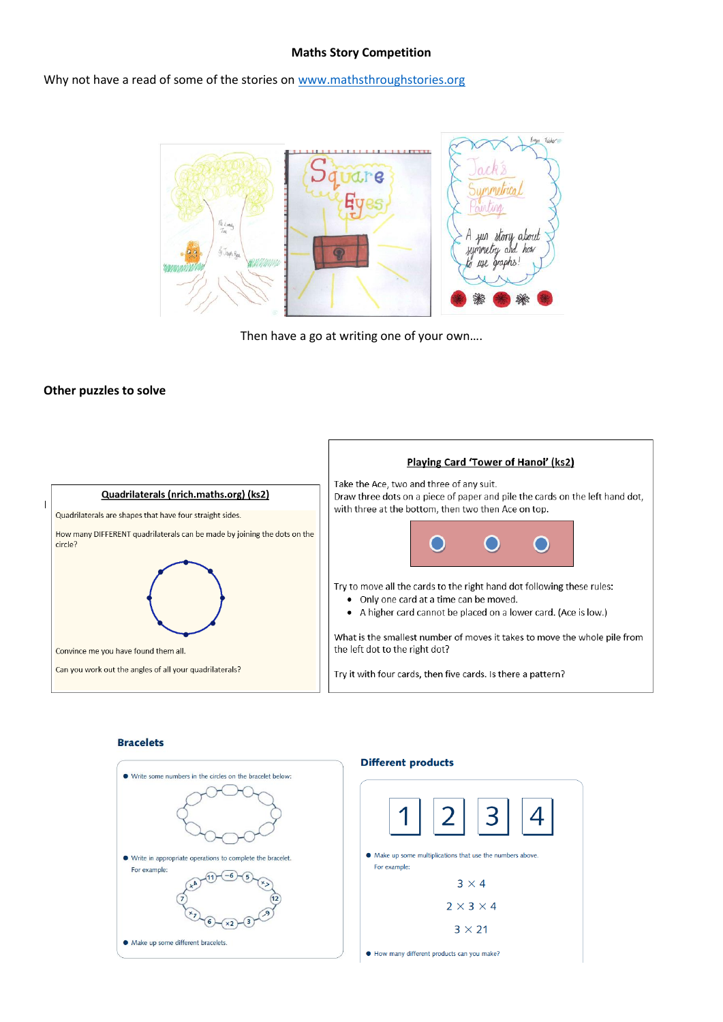#### **Maths Story Competition**

Why not have a read of some of the stories on [www.mathsthroughstories.org](http://www.mathsthroughstories.org/)



Then have a go at writing one of your own….

#### **Other puzzles to solve**



#### **Bracelets**

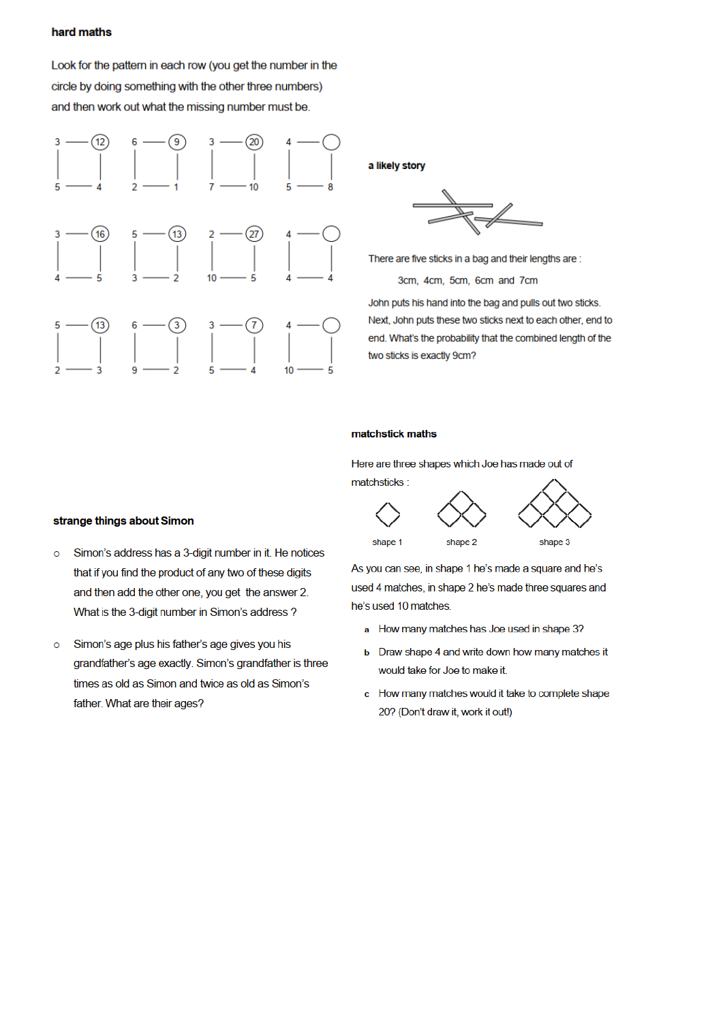#### hard maths

Look for the pattern in each row (you get the number in the circle by doing something with the other three numbers) and then work out what the missing number must be.



a likely story

There are five sticks in a bag and their lengths are:

3cm, 4cm, 5cm, 6cm and 7cm

John puts his hand into the bag and pulls out two sticks. Next, John puts these two sticks next to each other, end to end. What's the probability that the combined length of the two sticks is exactly 9cm?

#### matchstick maths

Here are three shapes which Joe has made out of matchsticks:





shape 1

shape 3

As you can see, in shape 1 he's made a square and he's used 4 matches, in shape 2 he's made three squares and he's used 10 matches.

- a How many matches has Joe used in shape 3?
- **b** Draw shape 4 and write down how many matches it would take for Joe to make it.
- c How many matches would it take to complete shape 20? (Don't draw it, work it out!)

#### strange things about Simon

- Simon's address has a 3-digit number in it. He notices  $\circ$ that if you find the product of any two of these digits and then add the other one, you get the answer 2. What is the 3-digit number in Simon's address?
- Simon's age plus his father's age gives you his  $\circ$ grandfather's age exactly. Simon's grandfather is three times as old as Simon and twice as old as Simon's father. What are their ages?